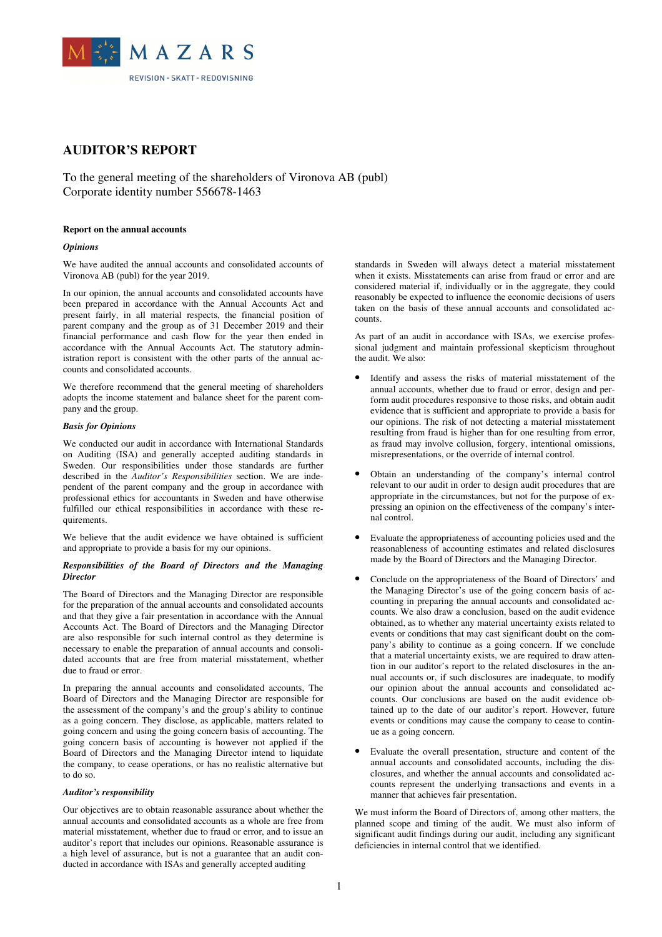

# **AUDITOR'S REPORT**

To the general meeting of the shareholders of Vironova AB (publ) Corporate identity number 556678-1463

#### **Report on the annual accounts**

#### *Opinions*

We have audited the annual accounts and consolidated accounts of Vironova AB (publ) for the year 2019.

In our opinion, the annual accounts and consolidated accounts have been prepared in accordance with the Annual Accounts Act and present fairly, in all material respects, the financial position of parent company and the group as of 31 December 2019 and their financial performance and cash flow for the year then ended in accordance with the Annual Accounts Act. The statutory administration report is consistent with the other parts of the annual accounts and consolidated accounts.

We therefore recommend that the general meeting of shareholders adopts the income statement and balance sheet for the parent company and the group.

## *Basis for Opinions*

We conducted our audit in accordance with International Standards on Auditing (ISA) and generally accepted auditing standards in Sweden. Our responsibilities under those standards are further described in the *Auditor's Responsibilities* section. We are independent of the parent company and the group in accordance with professional ethics for accountants in Sweden and have otherwise fulfilled our ethical responsibilities in accordance with these requirements.

We believe that the audit evidence we have obtained is sufficient and appropriate to provide a basis for my our opinions.

# *Responsibilities of the Board of Directors and the Managing Director*

The Board of Directors and the Managing Director are responsible for the preparation of the annual accounts and consolidated accounts and that they give a fair presentation in accordance with the Annual Accounts Act. The Board of Directors and the Managing Director are also responsible for such internal control as they determine is necessary to enable the preparation of annual accounts and consolidated accounts that are free from material misstatement, whether due to fraud or error.

In preparing the annual accounts and consolidated accounts, The Board of Directors and the Managing Director are responsible for the assessment of the company's and the group's ability to continue as a going concern. They disclose, as applicable, matters related to going concern and using the going concern basis of accounting. The going concern basis of accounting is however not applied if the Board of Directors and the Managing Director intend to liquidate the company, to cease operations, or has no realistic alternative but to do so.

#### *Auditor's responsibility*

Our objectives are to obtain reasonable assurance about whether the annual accounts and consolidated accounts as a whole are free from material misstatement, whether due to fraud or error, and to issue an auditor's report that includes our opinions. Reasonable assurance is a high level of assurance, but is not a guarantee that an audit conducted in accordance with ISAs and generally accepted auditing

standards in Sweden will always detect a material misstatement when it exists. Misstatements can arise from fraud or error and are considered material if, individually or in the aggregate, they could reasonably be expected to influence the economic decisions of users taken on the basis of these annual accounts and consolidated accounts.

As part of an audit in accordance with ISAs, we exercise professional judgment and maintain professional skepticism throughout the audit. We also:

- Identify and assess the risks of material misstatement of the annual accounts, whether due to fraud or error, design and perform audit procedures responsive to those risks, and obtain audit evidence that is sufficient and appropriate to provide a basis for our opinions. The risk of not detecting a material misstatement resulting from fraud is higher than for one resulting from error, as fraud may involve collusion, forgery, intentional omissions, misrepresentations, or the override of internal control.
- Obtain an understanding of the company's internal control relevant to our audit in order to design audit procedures that are appropriate in the circumstances, but not for the purpose of expressing an opinion on the effectiveness of the company's internal control.
- Evaluate the appropriateness of accounting policies used and the reasonableness of accounting estimates and related disclosures made by the Board of Directors and the Managing Director.
- Conclude on the appropriateness of the Board of Directors' and the Managing Director's use of the going concern basis of accounting in preparing the annual accounts and consolidated accounts. We also draw a conclusion, based on the audit evidence obtained, as to whether any material uncertainty exists related to events or conditions that may cast significant doubt on the company's ability to continue as a going concern. If we conclude that a material uncertainty exists, we are required to draw attention in our auditor's report to the related disclosures in the annual accounts or, if such disclosures are inadequate, to modify our opinion about the annual accounts and consolidated accounts. Our conclusions are based on the audit evidence obtained up to the date of our auditor's report. However, future events or conditions may cause the company to cease to continue as a going concern.
- Evaluate the overall presentation, structure and content of the annual accounts and consolidated accounts, including the disclosures, and whether the annual accounts and consolidated accounts represent the underlying transactions and events in a manner that achieves fair presentation.

We must inform the Board of Directors of, among other matters, the planned scope and timing of the audit. We must also inform of significant audit findings during our audit, including any significant deficiencies in internal control that we identified.